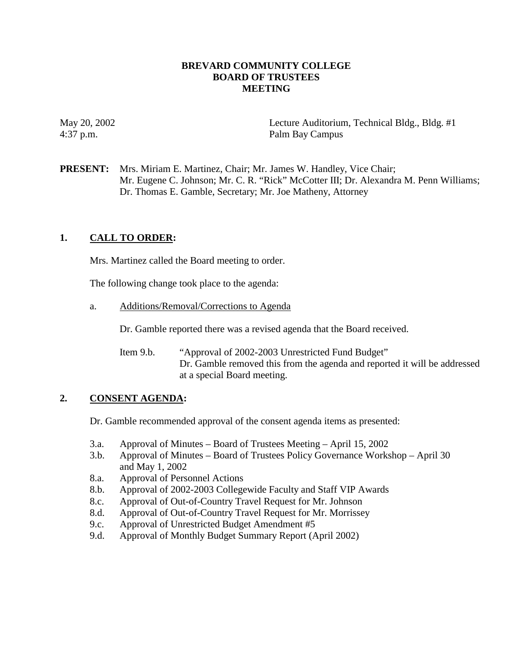### **BREVARD COMMUNITY COLLEGE BOARD OF TRUSTEES MEETING**

May 20, 2002 Lecture Auditorium, Technical Bldg., Bldg. #1 4:37 p.m. Palm Bay Campus

**PRESENT:** Mrs. Miriam E. Martinez, Chair; Mr. James W. Handley, Vice Chair; Mr. Eugene C. Johnson; Mr. C. R. "Rick" McCotter III; Dr. Alexandra M. Penn Williams; Dr. Thomas E. Gamble, Secretary; Mr. Joe Matheny, Attorney

# **1. CALL TO ORDER:**

Mrs. Martinez called the Board meeting to order.

The following change took place to the agenda:

a. Additions/Removal/Corrections to Agenda

Dr. Gamble reported there was a revised agenda that the Board received.

Item 9.b. "Approval of 2002-2003 Unrestricted Fund Budget" Dr. Gamble removed this from the agenda and reported it will be addressed at a special Board meeting.

# **2. CONSENT AGENDA:**

Dr. Gamble recommended approval of the consent agenda items as presented:

- 3.a. Approval of Minutes Board of Trustees Meeting April 15, 2002
- 3.b. Approval of Minutes Board of Trustees Policy Governance Workshop April 30 and May 1, 2002
- 8.a. Approval of Personnel Actions
- 8.b. Approval of 2002-2003 Collegewide Faculty and Staff VIP Awards
- 8.c. Approval of Out-of-Country Travel Request for Mr. Johnson
- 8.d. Approval of Out-of-Country Travel Request for Mr. Morrissey
- 9.c. Approval of Unrestricted Budget Amendment #5
- 9.d. Approval of Monthly Budget Summary Report (April 2002)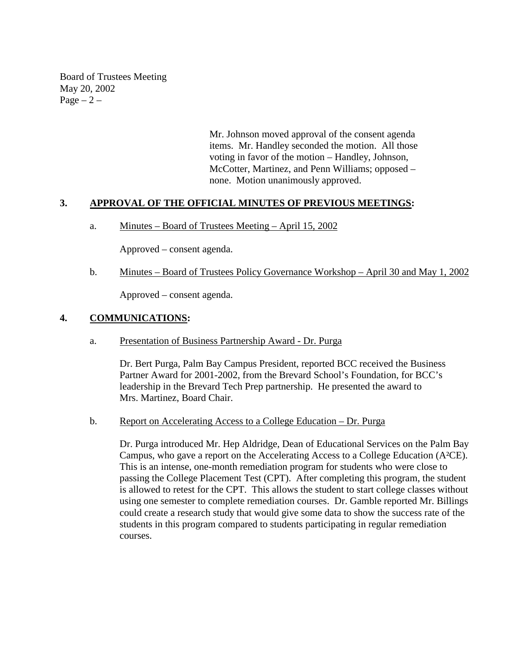Board of Trustees Meeting May 20, 2002 Page  $-2$  –

> Mr. Johnson moved approval of the consent agenda items. Mr. Handley seconded the motion. All those voting in favor of the motion – Handley, Johnson, McCotter, Martinez, and Penn Williams; opposed – none. Motion unanimously approved.

### **3. APPROVAL OF THE OFFICIAL MINUTES OF PREVIOUS MEETINGS:**

a. Minutes – Board of Trustees Meeting – April 15, 2002

Approved – consent agenda.

b. Minutes – Board of Trustees Policy Governance Workshop – April 30 and May 1, 2002

Approved – consent agenda.

### **4. COMMUNICATIONS:**

a. Presentation of Business Partnership Award - Dr. Purga

Dr. Bert Purga, Palm Bay Campus President, reported BCC received the Business Partner Award for 2001-2002, from the Brevard School's Foundation, for BCC's leadership in the Brevard Tech Prep partnership. He presented the award to Mrs. Martinez, Board Chair.

b. Report on Accelerating Access to a College Education – Dr. Purga

Dr. Purga introduced Mr. Hep Aldridge, Dean of Educational Services on the Palm Bay Campus, who gave a report on the Accelerating Access to a College Education (A²CE). This is an intense, one-month remediation program for students who were close to passing the College Placement Test (CPT). After completing this program, the student is allowed to retest for the CPT. This allows the student to start college classes without using one semester to complete remediation courses. Dr. Gamble reported Mr. Billings could create a research study that would give some data to show the success rate of the students in this program compared to students participating in regular remediation courses.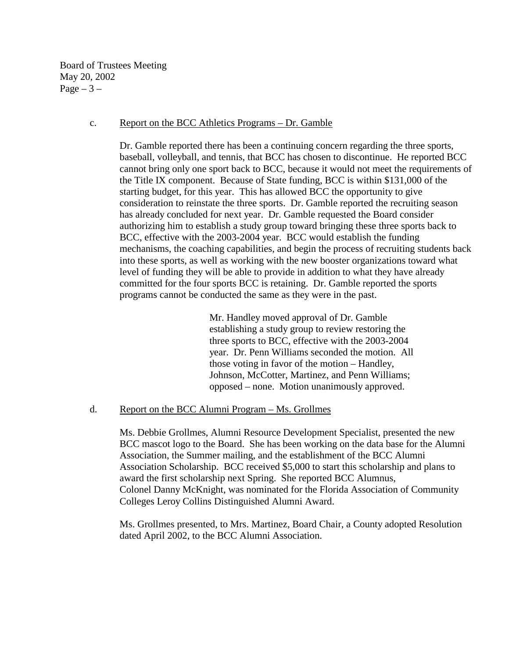Board of Trustees Meeting May 20, 2002  $Page - 3 -$ 

#### c. Report on the BCC Athletics Programs – Dr. Gamble

Dr. Gamble reported there has been a continuing concern regarding the three sports, baseball, volleyball, and tennis, that BCC has chosen to discontinue. He reported BCC cannot bring only one sport back to BCC, because it would not meet the requirements of the Title IX component. Because of State funding, BCC is within \$131,000 of the starting budget, for this year. This has allowed BCC the opportunity to give consideration to reinstate the three sports. Dr. Gamble reported the recruiting season has already concluded for next year. Dr. Gamble requested the Board consider authorizing him to establish a study group toward bringing these three sports back to BCC, effective with the 2003-2004 year. BCC would establish the funding mechanisms, the coaching capabilities, and begin the process of recruiting students back into these sports, as well as working with the new booster organizations toward what level of funding they will be able to provide in addition to what they have already committed for the four sports BCC is retaining. Dr. Gamble reported the sports programs cannot be conducted the same as they were in the past.

> Mr. Handley moved approval of Dr. Gamble establishing a study group to review restoring the three sports to BCC, effective with the 2003-2004 year. Dr. Penn Williams seconded the motion. All those voting in favor of the motion – Handley, Johnson, McCotter, Martinez, and Penn Williams; opposed – none. Motion unanimously approved.

### d. Report on the BCC Alumni Program – Ms. Grollmes

Ms. Debbie Grollmes, Alumni Resource Development Specialist, presented the new BCC mascot logo to the Board. She has been working on the data base for the Alumni Association, the Summer mailing, and the establishment of the BCC Alumni Association Scholarship. BCC received \$5,000 to start this scholarship and plans to award the first scholarship next Spring. She reported BCC Alumnus, Colonel Danny McKnight, was nominated for the Florida Association of Community Colleges Leroy Collins Distinguished Alumni Award.

Ms. Grollmes presented, to Mrs. Martinez, Board Chair, a County adopted Resolution dated April 2002, to the BCC Alumni Association.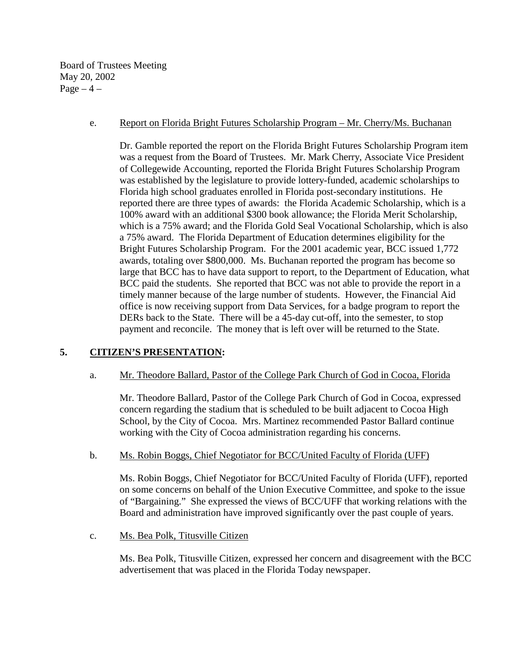Board of Trustees Meeting May 20, 2002  $Page-4$  –

### e. Report on Florida Bright Futures Scholarship Program – Mr. Cherry/Ms. Buchanan

Dr. Gamble reported the report on the Florida Bright Futures Scholarship Program item was a request from the Board of Trustees. Mr. Mark Cherry, Associate Vice President of Collegewide Accounting, reported the Florida Bright Futures Scholarship Program was established by the legislature to provide lottery-funded, academic scholarships to Florida high school graduates enrolled in Florida post-secondary institutions. He reported there are three types of awards: the Florida Academic Scholarship, which is a 100% award with an additional \$300 book allowance; the Florida Merit Scholarship, which is a 75% award; and the Florida Gold Seal Vocational Scholarship, which is also a 75% award. The Florida Department of Education determines eligibility for the Bright Futures Scholarship Program. For the 2001 academic year, BCC issued 1,772 awards, totaling over \$800,000. Ms. Buchanan reported the program has become so large that BCC has to have data support to report, to the Department of Education, what BCC paid the students. She reported that BCC was not able to provide the report in a timely manner because of the large number of students. However, the Financial Aid office is now receiving support from Data Services, for a badge program to report the DERs back to the State. There will be a 45-day cut-off, into the semester, to stop payment and reconcile. The money that is left over will be returned to the State.

### **5. CITIZEN'S PRESENTATION:**

### a. Mr. Theodore Ballard, Pastor of the College Park Church of God in Cocoa, Florida

Mr. Theodore Ballard, Pastor of the College Park Church of God in Cocoa, expressed concern regarding the stadium that is scheduled to be built adjacent to Cocoa High School, by the City of Cocoa. Mrs. Martinez recommended Pastor Ballard continue working with the City of Cocoa administration regarding his concerns.

### b. Ms. Robin Boggs, Chief Negotiator for BCC/United Faculty of Florida (UFF)

Ms. Robin Boggs, Chief Negotiator for BCC/United Faculty of Florida (UFF), reported on some concerns on behalf of the Union Executive Committee, and spoke to the issue of "Bargaining." She expressed the views of BCC/UFF that working relations with the Board and administration have improved significantly over the past couple of years.

### c. Ms. Bea Polk, Titusville Citizen

 Ms. Bea Polk, Titusville Citizen, expressed her concern and disagreement with the BCC advertisement that was placed in the Florida Today newspaper.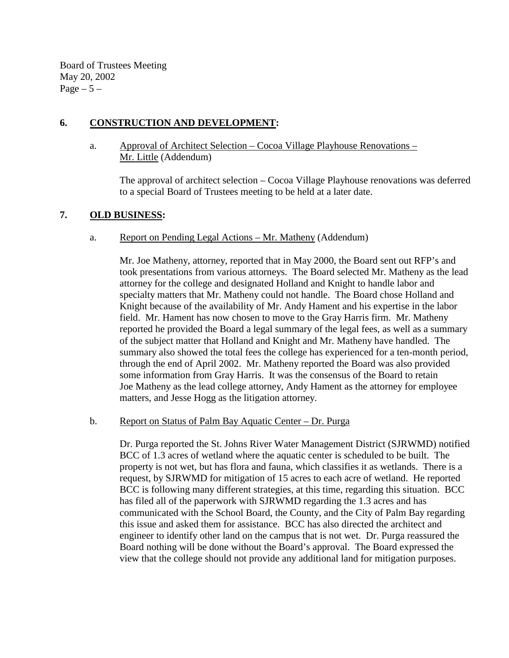Board of Trustees Meeting May 20, 2002 Page  $-5-$ 

# **6. CONSTRUCTION AND DEVELOPMENT:**

a. Approval of Architect Selection – Cocoa Village Playhouse Renovations – Mr. Little (Addendum)

The approval of architect selection – Cocoa Village Playhouse renovations was deferred to a special Board of Trustees meeting to be held at a later date.

# **7. OLD BUSINESS:**

# a. Report on Pending Legal Actions – Mr. Matheny (Addendum)

Mr. Joe Matheny, attorney, reported that in May 2000, the Board sent out RFP's and took presentations from various attorneys. The Board selected Mr. Matheny as the lead attorney for the college and designated Holland and Knight to handle labor and specialty matters that Mr. Matheny could not handle. The Board chose Holland and Knight because of the availability of Mr. Andy Hament and his expertise in the labor field. Mr. Hament has now chosen to move to the Gray Harris firm. Mr. Matheny reported he provided the Board a legal summary of the legal fees, as well as a summary of the subject matter that Holland and Knight and Mr. Matheny have handled. The summary also showed the total fees the college has experienced for a ten-month period, through the end of April 2002. Mr. Matheny reported the Board was also provided some information from Gray Harris. It was the consensus of the Board to retain Joe Matheny as the lead college attorney, Andy Hament as the attorney for employee matters, and Jesse Hogg as the litigation attorney.

### b. Report on Status of Palm Bay Aquatic Center – Dr. Purga

 Dr. Purga reported the St. Johns River Water Management District (SJRWMD) notified BCC of 1.3 acres of wetland where the aquatic center is scheduled to be built. The property is not wet, but has flora and fauna, which classifies it as wetlands. There is a request, by SJRWMD for mitigation of 15 acres to each acre of wetland. He reported BCC is following many different strategies, at this time, regarding this situation. BCC has filed all of the paperwork with SJRWMD regarding the 1.3 acres and has communicated with the School Board, the County, and the City of Palm Bay regarding this issue and asked them for assistance. BCC has also directed the architect and engineer to identify other land on the campus that is not wet. Dr. Purga reassured the Board nothing will be done without the Board's approval. The Board expressed the view that the college should not provide any additional land for mitigation purposes.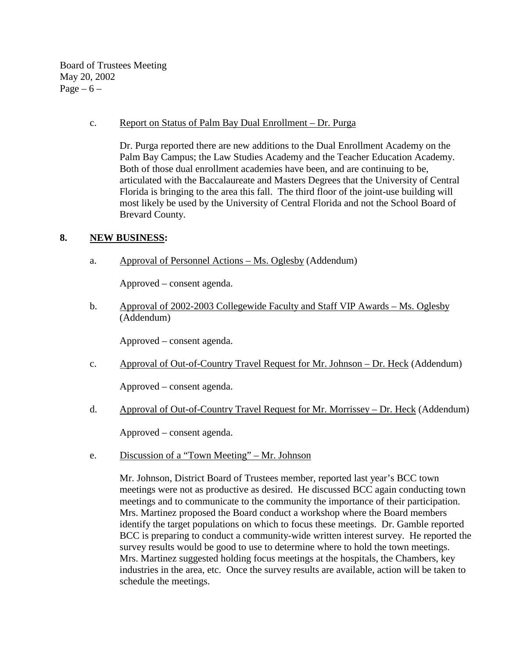Board of Trustees Meeting May 20, 2002 Page  $-6$  –

### c. Report on Status of Palm Bay Dual Enrollment – Dr. Purga

 Dr. Purga reported there are new additions to the Dual Enrollment Academy on the Palm Bay Campus; the Law Studies Academy and the Teacher Education Academy. Both of those dual enrollment academies have been, and are continuing to be, articulated with the Baccalaureate and Masters Degrees that the University of Central Florida is bringing to the area this fall. The third floor of the joint-use building will most likely be used by the University of Central Florida and not the School Board of Brevard County.

### **8. NEW BUSINESS:**

a. Approval of Personnel Actions – Ms. Oglesby (Addendum)

Approved – consent agenda.

b. Approval of 2002-2003 Collegewide Faculty and Staff VIP Awards – Ms. Oglesby (Addendum)

Approved – consent agenda.

c. Approval of Out-of-Country Travel Request for Mr. Johnson – Dr. Heck (Addendum)

Approved – consent agenda.

d. Approval of Out-of-Country Travel Request for Mr. Morrissey – Dr. Heck (Addendum)

Approved – consent agenda.

e. Discussion of a "Town Meeting" – Mr. Johnson

 Mr. Johnson, District Board of Trustees member, reported last year's BCC town meetings were not as productive as desired. He discussed BCC again conducting town meetings and to communicate to the community the importance of their participation. Mrs. Martinez proposed the Board conduct a workshop where the Board members identify the target populations on which to focus these meetings. Dr. Gamble reported BCC is preparing to conduct a community-wide written interest survey. He reported the survey results would be good to use to determine where to hold the town meetings. Mrs. Martinez suggested holding focus meetings at the hospitals, the Chambers, key industries in the area, etc. Once the survey results are available, action will be taken to schedule the meetings.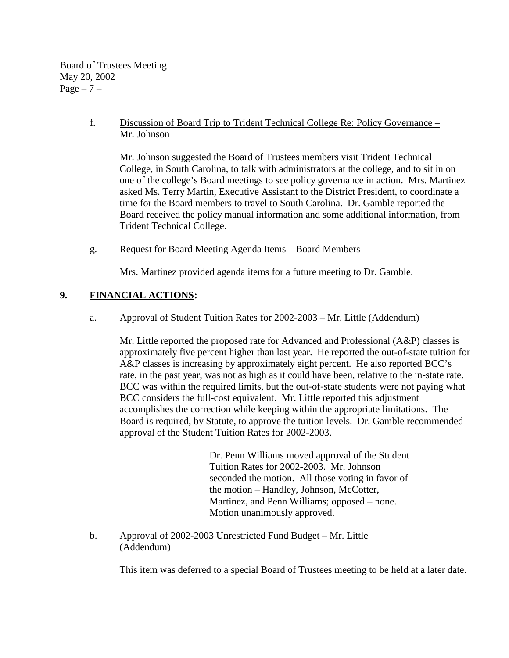Board of Trustees Meeting May 20, 2002 Page  $-7$  –

# f. Discussion of Board Trip to Trident Technical College Re: Policy Governance – Mr. Johnson

 Mr. Johnson suggested the Board of Trustees members visit Trident Technical College, in South Carolina, to talk with administrators at the college, and to sit in on one of the college's Board meetings to see policy governance in action. Mrs. Martinez asked Ms. Terry Martin, Executive Assistant to the District President, to coordinate a time for the Board members to travel to South Carolina. Dr. Gamble reported the Board received the policy manual information and some additional information, from Trident Technical College.

g. Request for Board Meeting Agenda Items – Board Members

Mrs. Martinez provided agenda items for a future meeting to Dr. Gamble.

# **9. FINANCIAL ACTIONS:**

a. Approval of Student Tuition Rates for 2002-2003 – Mr. Little (Addendum)

 Mr. Little reported the proposed rate for Advanced and Professional (A&P) classes is approximately five percent higher than last year. He reported the out-of-state tuition for A&P classes is increasing by approximately eight percent. He also reported BCC's rate, in the past year, was not as high as it could have been, relative to the in-state rate. BCC was within the required limits, but the out-of-state students were not paying what BCC considers the full-cost equivalent. Mr. Little reported this adjustment accomplishes the correction while keeping within the appropriate limitations. The Board is required, by Statute, to approve the tuition levels. Dr. Gamble recommended approval of the Student Tuition Rates for 2002-2003.

> Dr. Penn Williams moved approval of the Student Tuition Rates for 2002-2003. Mr. Johnson seconded the motion. All those voting in favor of the motion – Handley, Johnson, McCotter, Martinez, and Penn Williams; opposed – none. Motion unanimously approved.

 b. Approval of 2002-2003 Unrestricted Fund Budget – Mr. Little (Addendum)

This item was deferred to a special Board of Trustees meeting to be held at a later date.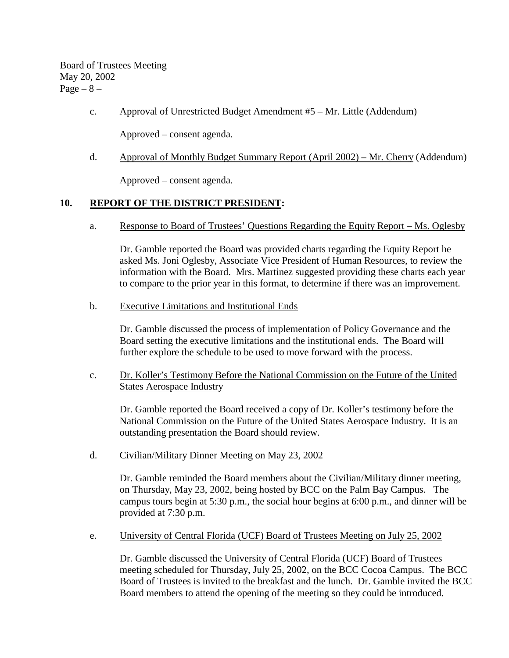Board of Trustees Meeting May 20, 2002  $Page - 8 -$ 

c. Approval of Unrestricted Budget Amendment #5 – Mr. Little (Addendum)

Approved – consent agenda.

d. Approval of Monthly Budget Summary Report (April 2002) – Mr. Cherry (Addendum)

Approved – consent agenda.

#### **10. REPORT OF THE DISTRICT PRESIDENT:**

a. Response to Board of Trustees' Questions Regarding the Equity Report – Ms. Oglesby

Dr. Gamble reported the Board was provided charts regarding the Equity Report he asked Ms. Joni Oglesby, Associate Vice President of Human Resources, to review the information with the Board. Mrs. Martinez suggested providing these charts each year to compare to the prior year in this format, to determine if there was an improvement.

b. Executive Limitations and Institutional Ends

Dr. Gamble discussed the process of implementation of Policy Governance and the Board setting the executive limitations and the institutional ends. The Board will further explore the schedule to be used to move forward with the process.

c. Dr. Koller's Testimony Before the National Commission on the Future of the United States Aerospace Industry

Dr. Gamble reported the Board received a copy of Dr. Koller's testimony before the National Commission on the Future of the United States Aerospace Industry. It is an outstanding presentation the Board should review.

d. Civilian/Military Dinner Meeting on May 23, 2002

Dr. Gamble reminded the Board members about the Civilian/Military dinner meeting, on Thursday, May 23, 2002, being hosted by BCC on the Palm Bay Campus. The campus tours begin at 5:30 p.m., the social hour begins at 6:00 p.m., and dinner will be provided at 7:30 p.m.

e. University of Central Florida (UCF) Board of Trustees Meeting on July 25, 2002

Dr. Gamble discussed the University of Central Florida (UCF) Board of Trustees meeting scheduled for Thursday, July 25, 2002, on the BCC Cocoa Campus. The BCC Board of Trustees is invited to the breakfast and the lunch. Dr. Gamble invited the BCC Board members to attend the opening of the meeting so they could be introduced.